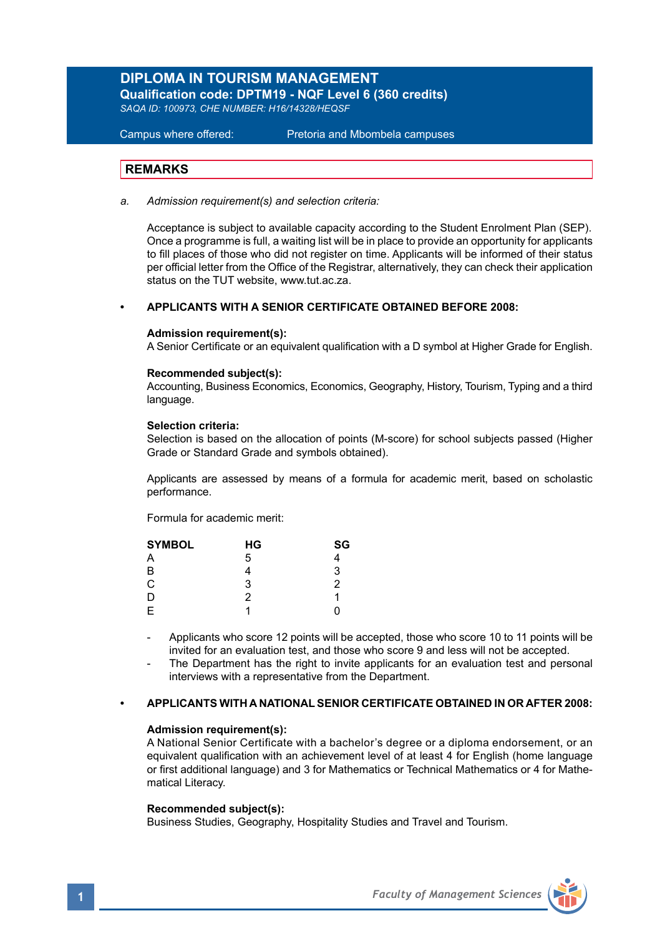# **DIPLOMA IN TOURISM MANAGEMENT**

**Qualification code: DPTM19 - NQF Level 6 (360 credits)**  *SAQA ID: 100973, CHE NUMBER: H16/14328/HEQSF* 

Campus where offered: Pretoria and Mbombela campuses

## **REMARKS**

*a. Admission requirement(s) and selection criteria:*

Acceptance is subject to available capacity according to the Student Enrolment Plan (SEP). Once a programme is full, a waiting list will be in place to provide an opportunity for applicants to fill places of those who did not register on time. Applicants will be informed of their status per official letter from the Office of the Registrar, alternatively, they can check their application status on the TUT website, www.tut.ac.za.

### **• APPLICANTS WITH A SENIOR CERTIFICATE OBTAINED BEFORE 2008:**

#### **Admission requirement(s):**

A Senior Certificate or an equivalent qualification with a D symbol at Higher Grade for English.

#### **Recommended subject(s):**

Accounting, Business Economics, Economics, Geography, History, Tourism, Typing and a third language.

#### **Selection criteria:**

Selection is based on the allocation of points (M-score) for school subjects passed (Higher Grade or Standard Grade and symbols obtained).

Applicants are assessed by means of a formula for academic merit, based on scholastic performance.

Formula for academic merit:

| <b>SYMBOL</b> | НG | SG |  |
|---------------|----|----|--|
| Α             | 5  |    |  |
| B             |    | 3  |  |
| C             | 3  | 2  |  |
| D             | 2  | 1  |  |
| E             |    | Ω  |  |

Applicants who score 12 points will be accepted, those who score 10 to 11 points will be invited for an evaluation test, and those who score 9 and less will not be accepted.

The Department has the right to invite applicants for an evaluation test and personal interviews with a representative from the Department.

### **• APPLICANTS WITH A NATIONAL SENIOR CERTIFICATE OBTAINED IN OR AFTER 2008:**

### **Admission requirement(s):**

A National Senior Certificate with a bachelor's degree or a diploma endorsement, or an equivalent qualification with an achievement level of at least 4 for English (home language or first additional language) and 3 for Mathematics or Technical Mathematics or 4 for Mathematical Literacy.

### **Recommended subject(s):**

Business Studies, Geography, Hospitality Studies and Travel and Tourism.

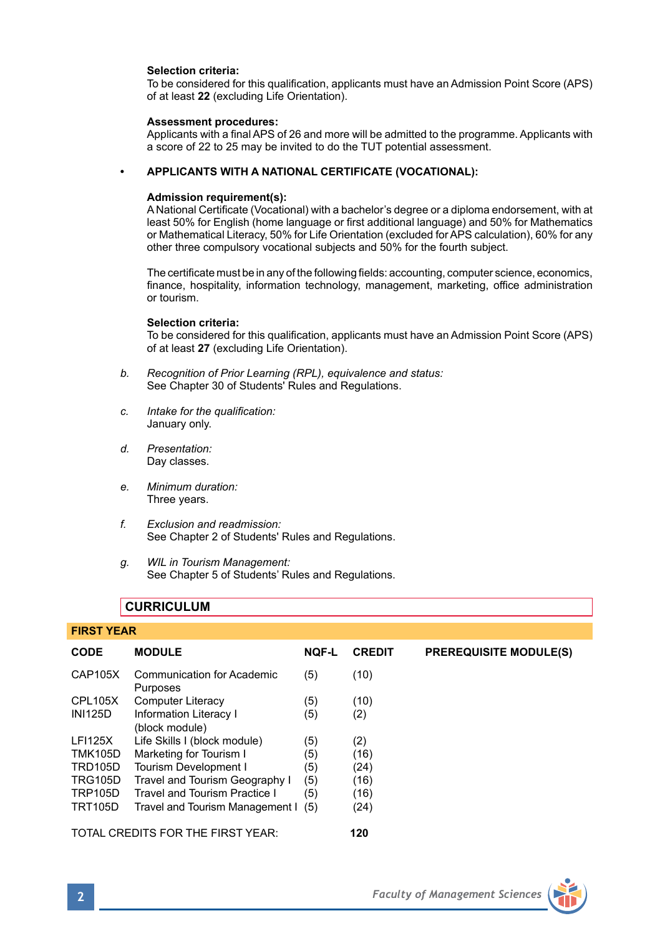### **Selection criteria:**

To be considered for this qualification, applicants must have an Admission Point Score (APS) of at least **22** (excluding Life Orientation).

#### **Assessment procedures:**

Applicants with a final APS of 26 and more will be admitted to the programme. Applicants with a score of 22 to 25 may be invited to do the TUT potential assessment.

### **• APPLICANTS WITH A NATIONAL CERTIFICATE (VOCATIONAL):**

### **Admission requirement(s):**

A National Certificate (Vocational) with a bachelor's degree or a diploma endorsement, with at least 50% for English (home language or first additional language) and 50% for Mathematics or Mathematical Literacy, 50% for Life Orientation (excluded for APS calculation), 60% for any other three compulsory vocational subjects and 50% for the fourth subject.

The certificate must be in any of the following fields: accounting, computer science, economics, finance, hospitality, information technology, management, marketing, office administration or tourism.

#### **Selection criteria:**

To be considered for this qualification, applicants must have an Admission Point Score (APS) of at least **27** (excluding Life Orientation).

- *b. Recognition of Prior Learning (RPL), equivalence and status:* See Chapter 30 of Students' Rules and Regulations.
- *c. Intake for the qualification:* January only.
- *d. Presentation:* Day classes.
- *e. Minimum duration:* Three years.
- *f. Exclusion and readmission:* See Chapter 2 of Students' Rules and Regulations.
- *g. WIL in Tourism Management:* See Chapter 5 of Students' Rules and Regulations.

## **CURRICULUM**

#### **FIRST YEAR**

| <b>CODE</b>    | <b>MODULE</b>                            | <b>NOF-L</b> | <b>CREDIT</b> | <b>PREREQUISITE MODULE(S)</b> |
|----------------|------------------------------------------|--------------|---------------|-------------------------------|
| CAP105X        | Communication for Academic<br>Purposes   | (5)          | (10)          |                               |
| <b>CPL105X</b> | <b>Computer Literacy</b>                 | (5)          | (10)          |                               |
| <b>INI125D</b> | Information Literacy I<br>(block module) | (5)          | (2)           |                               |
| <b>LFI125X</b> | Life Skills I (block module)             | (5)          | (2)           |                               |
| <b>TMK105D</b> | Marketing for Tourism I                  | (5)          | (16)          |                               |
| <b>TRD105D</b> | Tourism Development I                    | (5)          | (24)          |                               |
| <b>TRG105D</b> | Travel and Tourism Geography I           | (5)          | (16)          |                               |
| <b>TRP105D</b> | Travel and Tourism Practice I            | (5)          | (16)          |                               |
| <b>TRT105D</b> | Travel and Tourism Management I          | (5)          | (24)          |                               |
|                | TOTAL CREDITS FOR THE FIRST YEAR:        |              | 120           |                               |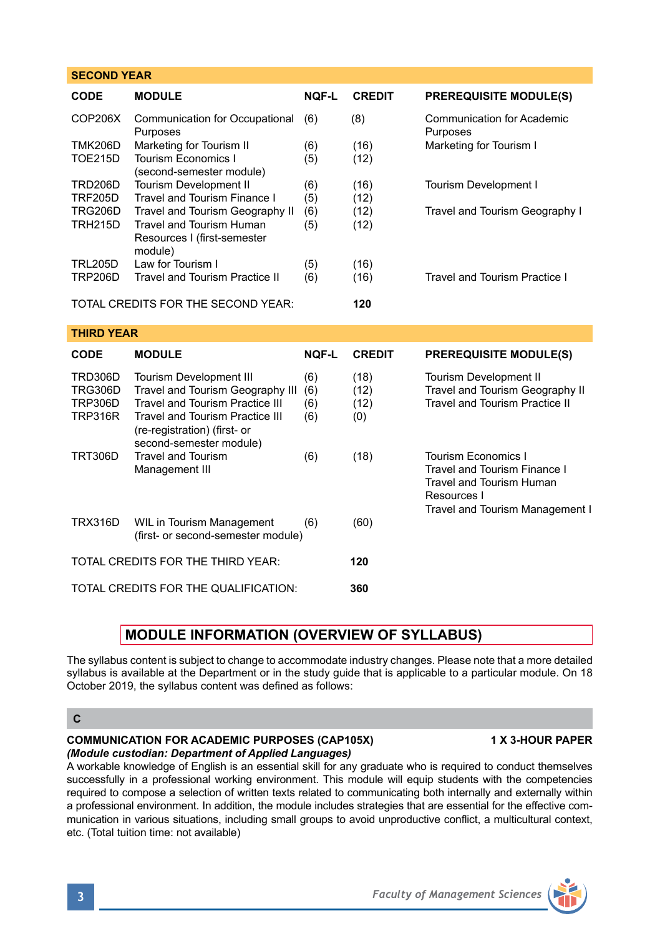| <b>SECOND YEAR</b>                                                   |                                                                                                                                                                                                            |                          |                             |                                                                                                       |  |  |  |
|----------------------------------------------------------------------|------------------------------------------------------------------------------------------------------------------------------------------------------------------------------------------------------------|--------------------------|-----------------------------|-------------------------------------------------------------------------------------------------------|--|--|--|
| CODE                                                                 | <b>MODULE</b>                                                                                                                                                                                              | NOF-L                    | <b>CREDIT</b>               | <b>PREREQUISITE MODULE(S)</b>                                                                         |  |  |  |
| COP206X                                                              | Communication for Occupational<br>Purposes                                                                                                                                                                 | (6)                      | (8)                         | <b>Communication for Academic</b><br>Purposes                                                         |  |  |  |
| <b>TMK206D</b><br><b>TOE215D</b>                                     | Marketing for Tourism II<br><b>Tourism Economics I</b>                                                                                                                                                     | (6)<br>(5)               | (16)<br>(12)                | Marketing for Tourism I                                                                               |  |  |  |
| <b>TRD206D</b><br><b>TRF205D</b>                                     | (second-semester module)<br>Tourism Development II<br>Travel and Tourism Finance I                                                                                                                         | (6)<br>(5)               | (16)<br>(12)                | Tourism Development I                                                                                 |  |  |  |
| <b>TRG206D</b><br><b>TRH215D</b>                                     | Travel and Tourism Geography II<br><b>Travel and Tourism Human</b><br>Resources I (first-semester<br>module)                                                                                               | (6)<br>(5)               | (12)<br>(12)                | Travel and Tourism Geography I                                                                        |  |  |  |
| <b>TRL205D</b><br><b>TRP206D</b>                                     | Law for Tourism I<br>Travel and Tourism Practice II                                                                                                                                                        | (5)<br>(6)               | (16)<br>(16)                | Travel and Tourism Practice I                                                                         |  |  |  |
|                                                                      | TOTAL CREDITS FOR THE SECOND YEAR:                                                                                                                                                                         |                          | 120                         |                                                                                                       |  |  |  |
| <b>THIRD YEAR</b>                                                    |                                                                                                                                                                                                            |                          |                             |                                                                                                       |  |  |  |
| <b>CODE</b>                                                          | <b>MODULE</b>                                                                                                                                                                                              | <b>NOF-L</b>             | <b>CREDIT</b>               | <b>PREREQUISITE MODULE(S)</b>                                                                         |  |  |  |
| <b>TRD306D</b><br><b>TRG306D</b><br><b>TRP306D</b><br><b>TRP316R</b> | <b>Tourism Development III</b><br>Travel and Tourism Geography III<br>Travel and Tourism Practice III<br><b>Travel and Tourism Practice III</b><br>(re-registration) (first- or<br>second-semester module) | (6)<br>(6)<br>(6)<br>(6) | (18)<br>(12)<br>(12)<br>(0) | Tourism Development II<br>Travel and Tourism Geography II<br>Travel and Tourism Practice II           |  |  |  |
| <b>TRT306D</b>                                                       | <b>Travel and Tourism</b><br>Management III                                                                                                                                                                | (6)                      | (18)                        | Tourism Economics I<br>Travel and Tourism Finance I<br><b>Travel and Tourism Human</b><br>Resources I |  |  |  |
| <b>TRX316D</b>                                                       | WIL in Tourism Management<br>(first- or second-semester module)                                                                                                                                            | (6)                      | (60)                        | <b>Travel and Tourism Management I</b>                                                                |  |  |  |
|                                                                      | TOTAL CREDITS FOR THE THIRD YEAR:                                                                                                                                                                          |                          | 120                         |                                                                                                       |  |  |  |
|                                                                      | TOTAL CREDITS FOR THE QUALIFICATION:                                                                                                                                                                       |                          | 360                         |                                                                                                       |  |  |  |

# **MODULE INFORMATION (OVERVIEW OF SYLLABUS)**

The syllabus content is subject to change to accommodate industry changes. Please note that a more detailed syllabus is available at the Department or in the study guide that is applicable to a particular module. On 18 October 2019, the syllabus content was defined as follows:

**C**

### **COMMUNICATION FOR ACADEMIC PURPOSES (CAP105X) 1 X 3-HOUR PAPER** *(Module custodian: Department of Applied Languages)*

A workable knowledge of English is an essential skill for any graduate who is required to conduct themselves successfully in a professional working environment. This module will equip students with the competencies required to compose a selection of written texts related to communicating both internally and externally within a professional environment. In addition, the module includes strategies that are essential for the effective communication in various situations, including small groups to avoid unproductive conflict, a multicultural context, etc. (Total tuition time: not available)

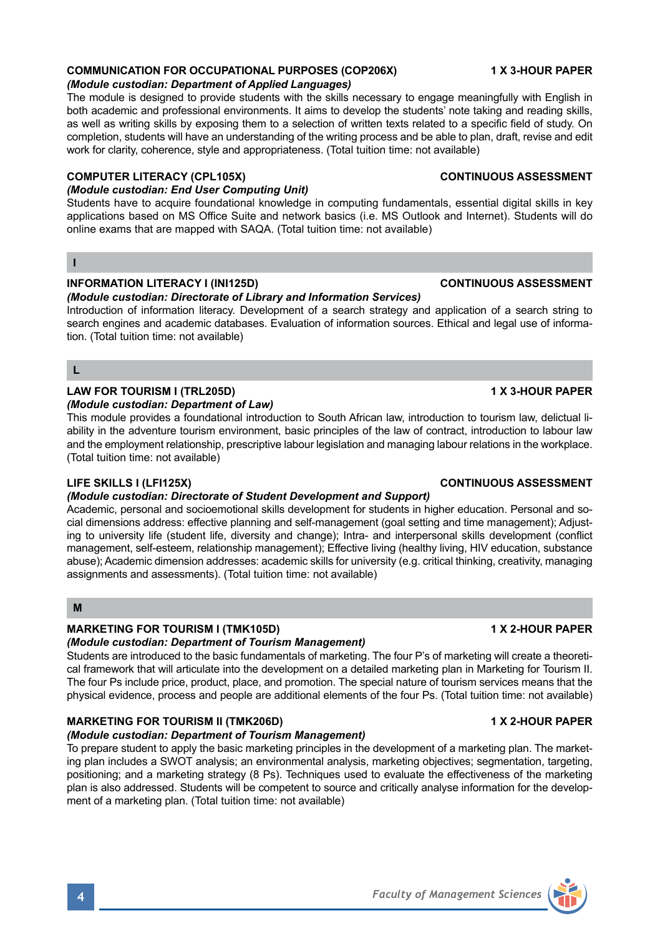# **COMMUNICATION FOR OCCUPATIONAL PURPOSES (COP206X) 1 X 3-HOUR PAPER**

# *(Module custodian: Department of Applied Languages)*

The module is designed to provide students with the skills necessary to engage meaningfully with English in both academic and professional environments. It aims to develop the students' note taking and reading skills, as well as writing skills by exposing them to a selection of written texts related to a specific field of study. On completion, students will have an understanding of the writing process and be able to plan, draft, revise and edit work for clarity, coherence, style and appropriateness. (Total tuition time: not available)

# **COMPUTER LITERACY (CPL105X)** CONTINUOUS ASSESSMENT

# *(Module custodian: End User Computing Unit)*

Students have to acquire foundational knowledge in computing fundamentals, essential digital skills in key applications based on MS Office Suite and network basics (i.e. MS Outlook and Internet). Students will do online exams that are mapped with SAQA. (Total tuition time: not available)

## **I**

## **INFORMATION LITERACY I (INI125D) CONTINUOUS ASSESSMENT**

## *(Module custodian: Directorate of Library and Information Services)*

Introduction of information literacy. Development of a search strategy and application of a search string to search engines and academic databases. Evaluation of information sources. Ethical and legal use of information. (Total tuition time: not available)

## **L**

## **LAW FOR TOURISM I (TRL205D) 1 X 3-HOUR PAPER**

### *(Module custodian: Department of Law)*

This module provides a foundational introduction to South African law, introduction to tourism law, delictual liability in the adventure tourism environment, basic principles of the law of contract, introduction to labour law and the employment relationship, prescriptive labour legislation and managing labour relations in the workplace. (Total tuition time: not available)

## **LIFE SKILLS I (LFI125X) CONTINUOUS ASSESSMENT**

## *(Module custodian: Directorate of Student Development and Support)*

Academic, personal and socioemotional skills development for students in higher education. Personal and social dimensions address: effective planning and self-management (goal setting and time management); Adjusting to university life (student life, diversity and change); Intra- and interpersonal skills development (conflict management, self-esteem, relationship management); Effective living (healthy living, HIV education, substance abuse); Academic dimension addresses: academic skills for university (e.g. critical thinking, creativity, managing assignments and assessments). (Total tuition time: not available)

### **M**

### **MARKETING FOR TOURISM I (TMK105D)** 1 1 X 2-HOUR PAPER

## *(Module custodian: Department of Tourism Management)*

Students are introduced to the basic fundamentals of marketing. The four P's of marketing will create a theoretical framework that will articulate into the development on a detailed marketing plan in Marketing for Tourism II. The four Ps include price, product, place, and promotion. The special nature of tourism services means that the physical evidence, process and people are additional elements of the four Ps. (Total tuition time: not available)

# **MARKETING FOR TOURISM II (TMK206D)** 1 X 2-HOUR PAPER

## *(Module custodian: Department of Tourism Management)*

To prepare student to apply the basic marketing principles in the development of a marketing plan. The marketing plan includes a SWOT analysis; an environmental analysis, marketing objectives; segmentation, targeting, positioning; and a marketing strategy (8 Ps). Techniques used to evaluate the effectiveness of the marketing plan is also addressed. Students will be competent to source and critically analyse information for the development of a marketing plan. (Total tuition time: not available)

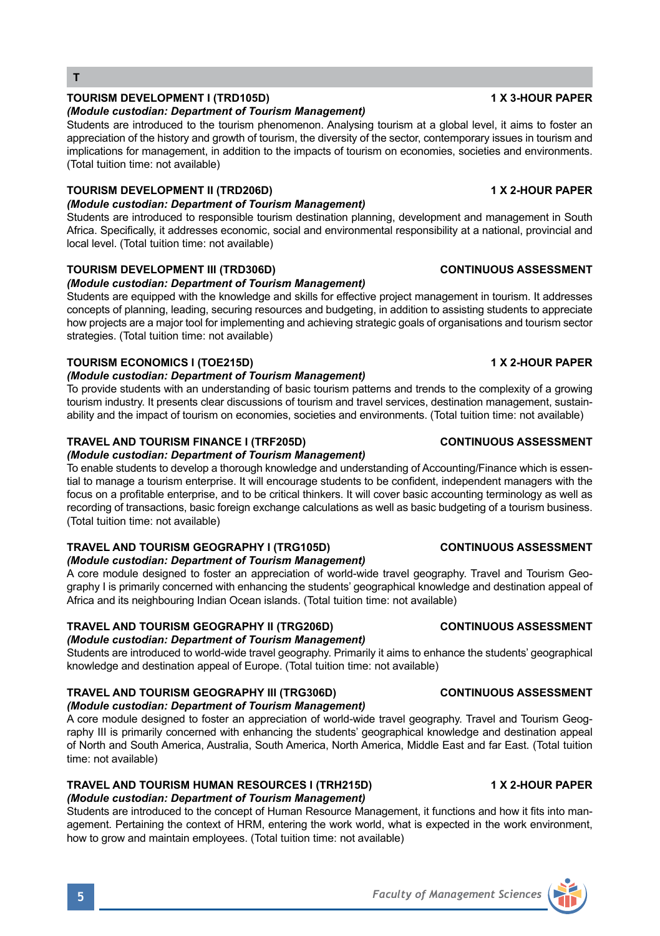# **TOURISM DEVELOPMENT I (TRD105D) 1 X 3-HOUR PAPER**

## *(Module custodian: Department of Tourism Management)*

Students are introduced to the tourism phenomenon. Analysing tourism at a global level, it aims to foster an appreciation of the history and growth of tourism, the diversity of the sector, contemporary issues in tourism and implications for management, in addition to the impacts of tourism on economies, societies and environments. (Total tuition time: not available)

# **TOURISM DEVELOPMENT II (TRD206D) 1 X 2-HOUR PAPER**

## *(Module custodian: Department of Tourism Management)*

Students are introduced to responsible tourism destination planning, development and management in South Africa. Specifically, it addresses economic, social and environmental responsibility at a national, provincial and local level. (Total tuition time: not available)

# **TOURISM DEVELOPMENT III (TRD306D) CONTINUOUS ASSESSMENT**

# *(Module custodian: Department of Tourism Management)*

Students are equipped with the knowledge and skills for effective project management in tourism. It addresses concepts of planning, leading, securing resources and budgeting, in addition to assisting students to appreciate how projects are a major tool for implementing and achieving strategic goals of organisations and tourism sector strategies. (Total tuition time: not available)

# **TOURISM ECONOMICS I (TOE215D) 1 X 2-HOUR PAPER**

# *(Module custodian: Department of Tourism Management)*

To provide students with an understanding of basic tourism patterns and trends to the complexity of a growing tourism industry. It presents clear discussions of tourism and travel services, destination management, sustainability and the impact of tourism on economies, societies and environments. (Total tuition time: not available)

# **TRAVEL AND TOURISM FINANCE I (TRF205D) CONTINUOUS ASSESSMENT**

# *(Module custodian: Department of Tourism Management)*

To enable students to develop a thorough knowledge and understanding of Accounting/Finance which is essential to manage a tourism enterprise. It will encourage students to be confident, independent managers with the focus on a profitable enterprise, and to be critical thinkers. It will cover basic accounting terminology as well as recording of transactions, basic foreign exchange calculations as well as basic budgeting of a tourism business. (Total tuition time: not available)

# **TRAVEL AND TOURISM GEOGRAPHY I (TRG105D) CONTINUOUS ASSESSMENT**

*(Module custodian: Department of Tourism Management)*  A core module designed to foster an appreciation of world-wide travel geography. Travel and Tourism Geography I is primarily concerned with enhancing the students' geographical knowledge and destination appeal of Africa and its neighbouring Indian Ocean islands. (Total tuition time: not available)

# **TRAVEL AND TOURISM GEOGRAPHY II (TRG206D) CONTINUOUS ASSESSMENT**

## *(Module custodian: Department of Tourism Management)*

Students are introduced to world-wide travel geography. Primarily it aims to enhance the students' geographical knowledge and destination appeal of Europe. (Total tuition time: not available)

# **TRAVEL AND TOURISM GEOGRAPHY III (TRG306D) CONTINUOUS ASSESSMENT**

## *(Module custodian: Department of Tourism Management)*

A core module designed to foster an appreciation of world-wide travel geography. Travel and Tourism Geography III is primarily concerned with enhancing the students' geographical knowledge and destination appeal of North and South America, Australia, South America, North America, Middle East and far East. (Total tuition time: not available)

#### **TRAVEL AND TOURISM HUMAN RESOURCES I (TRH215D) 1 X 2-HOUR PAPER** *(Module custodian: Department of Tourism Management)*

Students are introduced to the concept of Human Resource Management, it functions and how it fits into management. Pertaining the context of HRM, entering the work world, what is expected in the work environment, how to grow and maintain employees. (Total tuition time: not available)